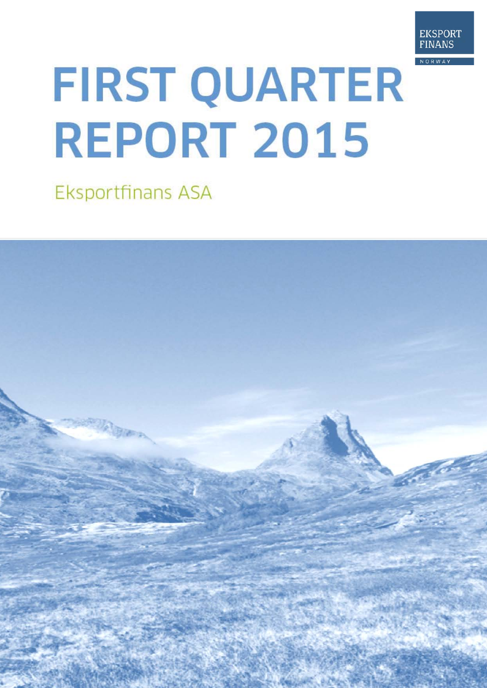

# FIRST QUARTER REPORT 2015

**Eksportfinans ASA** 

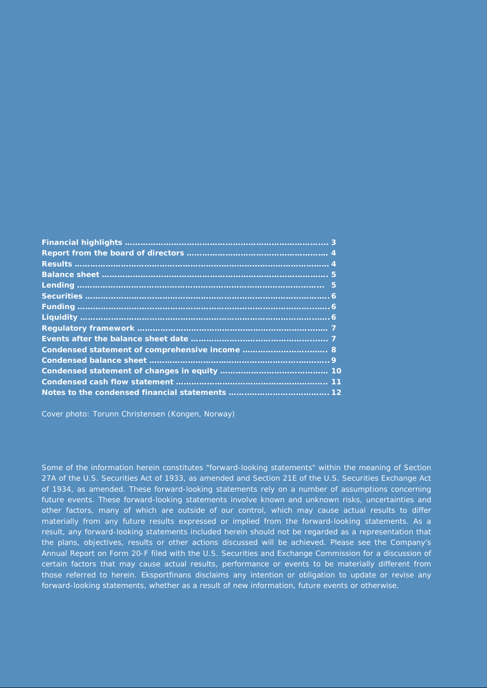| 3 |
|---|
|   |
|   |
|   |
|   |
|   |
|   |
|   |
|   |
|   |
|   |
|   |
|   |
|   |
|   |

Cover photo: Torunn Christensen (Kongen, Norway)

Some of the information herein constitutes "forward-looking statements" within the meaning of Section 27A of the U.S. Securities Act of 1933, as amended and Section 21E of the U.S. Securities Exchange Act of 1934, as amended. These forward-looking statements rely on a number of assumptions concerning future events. These forward-looking statements involve known and unknown risks, uncertainties and other factors, many of which are outside of our control, which may cause actual results to differ materially from any future results expressed or implied from the forward-looking statements. As a result, any forward-looking statements included herein should not be regarded as a representation that the plans, objectives, results or other actions discussed will be achieved. Please see the Company's Annual Report on Form 20-F filed with the U.S. Securities and Exchange Commission for a discussion of certain factors that may cause actual results, performance or events to be materially different from those referred to herein. Eksportfinans disclaims any intention or obligation to update or revise any forward-looking statements, whether as a result of new information, future events or otherwise.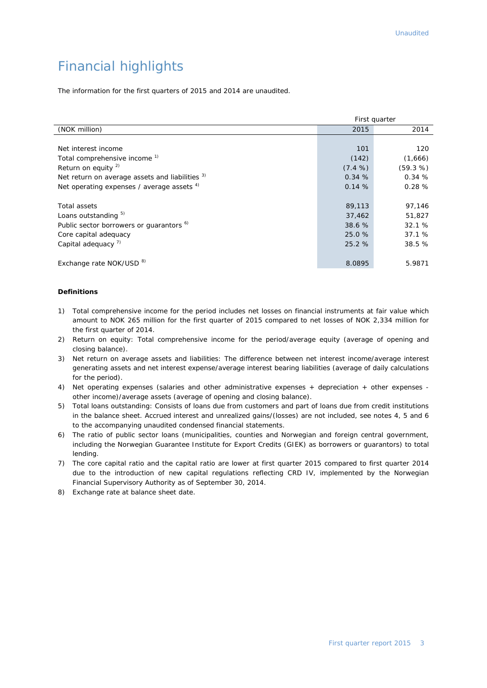# Financial highlights

The information for the first quarters of 2015 and 2014 are unaudited.

|                                                     | First quarter |          |  |
|-----------------------------------------------------|---------------|----------|--|
| (NOK million)                                       | 2015          | 2014     |  |
|                                                     |               |          |  |
| Net interest income                                 | 101           | 120      |  |
| Total comprehensive income <sup>1)</sup>            | (142)         | (1,666)  |  |
| Return on equity $^{2)}$                            | $(7.4\%)$     | (59.3 %) |  |
| Net return on average assets and liabilities 3)     | 0.34%         | 0.34%    |  |
| Net operating expenses / average assets $4$ )       | 0.14%         | 0.28%    |  |
|                                                     |               |          |  |
| Total assets                                        | 89,113        | 97,146   |  |
| Loans outstanding 5)                                | 37,462        | 51,827   |  |
| Public sector borrowers or guarantors <sup>6)</sup> | 38.6 %        | 32.1%    |  |
| Core capital adequacy                               | 25.0 %        | 37.1 %   |  |
| Capital adequacy $7$ )                              | 25.2 %        | 38.5 %   |  |
|                                                     |               |          |  |
| Exchange rate NOK/USD <sup>8)</sup>                 | 8.0895        | 5.9871   |  |

#### **Definitions**

- 1) Total comprehensive income for the period includes net losses on financial instruments at fair value which amount to NOK 265 million for the first quarter of 2015 compared to net losses of NOK 2,334 million for the first quarter of 2014.
- 2) Return on equity: Total comprehensive income for the period/average equity (average of opening and closing balance).
- 3) Net return on average assets and liabilities: The difference between net interest income/average interest generating assets and net interest expense/average interest bearing liabilities (average of daily calculations for the period).
- 4) Net operating expenses (salaries and other administrative expenses + depreciation + other expenses other income)/average assets (average of opening and closing balance).
- 5) Total loans outstanding: Consists of loans due from customers and part of loans due from credit institutions in the balance sheet. Accrued interest and unrealized gains/(losses) are not included, see notes 4, 5 and 6 to the accompanying unaudited condensed financial statements.
- 6) The ratio of public sector loans (municipalities, counties and Norwegian and foreign central government, including the Norwegian Guarantee Institute for Export Credits (GIEK) as borrowers or guarantors) to total lending.
- 7) The core capital ratio and the capital ratio are lower at first quarter 2015 compared to first quarter 2014 due to the introduction of new capital regulations reflecting CRD IV, implemented by the Norwegian Financial Supervisory Authority as of September 30, 2014.
- 8) Exchange rate at balance sheet date.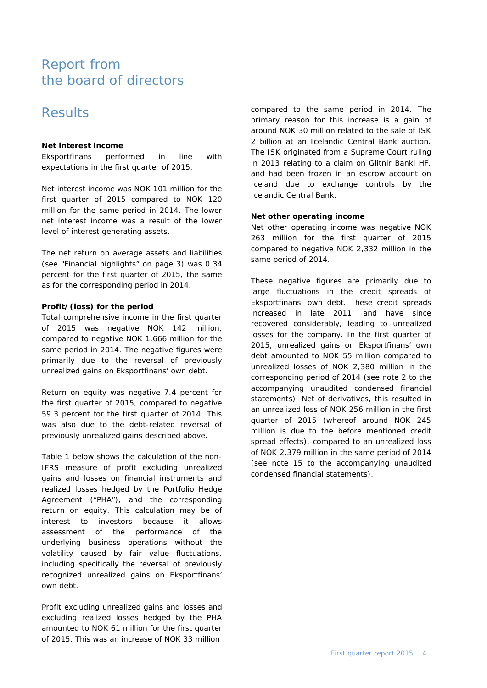# Report from the board of directors

# **Results**

## **Net interest income**

Eksportfinans performed in line with expectations in the first quarter of 2015.

Net interest income was NOK 101 million for the first quarter of 2015 compared to NOK 120 million for the same period in 2014. The lower net interest income was a result of the lower level of interest generating assets.

The net return on average assets and liabilities (see "Financial highlights" on page 3) was 0.34 percent for the first quarter of 2015, the same as for the corresponding period in 2014.

## **Profit/(loss) for the period**

Total comprehensive income in the first quarter of 2015 was negative NOK 142 million, compared to negative NOK 1,666 million for the same period in 2014. The negative figures were primarily due to the reversal of previously unrealized gains on Eksportfinans' own debt.

Return on equity was negative 7.4 percent for the first quarter of 2015, compared to negative 59.3 percent for the first quarter of 2014. This was also due to the debt-related reversal of previously unrealized gains described above.

Table 1 below shows the calculation of the non-IFRS measure of profit excluding unrealized gains and losses on financial instruments and realized losses hedged by the Portfolio Hedge Agreement ("PHA"), and the corresponding return on equity. This calculation may be of interest to investors because it allows assessment of the performance of the underlying business operations without the volatility caused by fair value fluctuations, including specifically the reversal of previously recognized unrealized gains on Eksportfinans' own debt.

Profit excluding unrealized gains and losses and excluding realized losses hedged by the PHA amounted to NOK 61 million for the first quarter of 2015. This was an increase of NOK 33 million

compared to the same period in 2014. The primary reason for this increase is a gain of around NOK 30 million related to the sale of ISK 2 billion at an Icelandic Central Bank auction. The ISK originated from a Supreme Court ruling in 2013 relating to a claim on Glitnir Banki HF, and had been frozen in an escrow account on Iceland due to exchange controls by the Icelandic Central Bank.

## **Net other operating income**

Net other operating income was negative NOK 263 million for the first quarter of 2015 compared to negative NOK 2,332 million in the same period of 2014.

These negative figures are primarily due to large fluctuations in the credit spreads of Eksportfinans' own debt. These credit spreads increased in late 2011, and have since recovered considerably, leading to unrealized losses for the company. In the first quarter of 2015, unrealized gains on Eksportfinans' own debt amounted to NOK 55 million compared to unrealized losses of NOK 2,380 million in the corresponding period of 2014 (see note 2 to the accompanying unaudited condensed financial statements). Net of derivatives, this resulted in an unrealized loss of NOK 256 million in the first quarter of 2015 (whereof around NOK 245 million is due to the before mentioned credit spread effects), compared to an unrealized loss of NOK 2,379 million in the same period of 2014 (see note 15 to the accompanying unaudited condensed financial statements).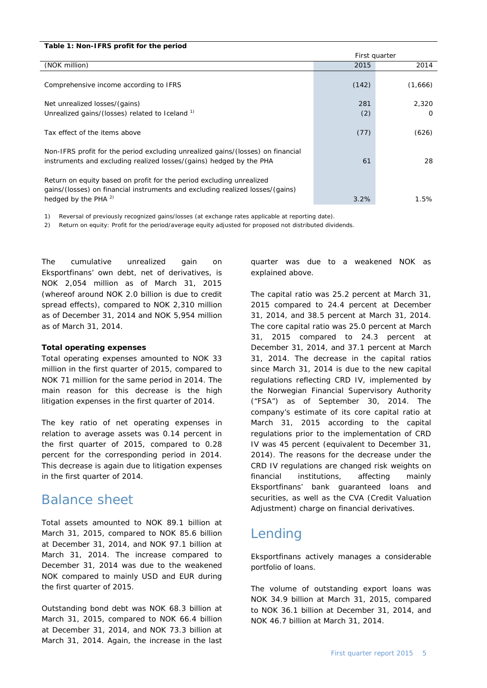| Table 1: Non-IFRS profit for the period                                                                                                                                           |               |          |
|-----------------------------------------------------------------------------------------------------------------------------------------------------------------------------------|---------------|----------|
|                                                                                                                                                                                   | First quarter |          |
| (NOK million)                                                                                                                                                                     | 2015          | 2014     |
| Comprehensive income according to IFRS                                                                                                                                            | (142)         | (1,666)  |
| Net unrealized losses/(gains)                                                                                                                                                     | 281           | 2,320    |
| Unrealized gains/(losses) related to Iceland <sup>1)</sup>                                                                                                                        | (2)           | $\Omega$ |
| Tax effect of the items above                                                                                                                                                     | (77)          | (626)    |
| Non-IFRS profit for the period excluding unrealized gains/(losses) on financial<br>instruments and excluding realized losses/(gains) hedged by the PHA                            | 61            | 28       |
| Return on equity based on profit for the period excluding unrealized<br>gains/(losses) on financial instruments and excluding realized losses/(gains)<br>hedged by the PHA $^{2}$ | 3.2%          | 1.5%     |
|                                                                                                                                                                                   |               |          |

1) Reversal of previously recognized gains/losses (at exchange rates applicable at reporting date).

2) Return on equity: Profit for the period/average equity adjusted for proposed not distributed dividends.

The cumulative unrealized gain on Eksportfinans' own debt, net of derivatives, is NOK 2,054 million as of March 31, 2015 (whereof around NOK 2.0 billion is due to credit spread effects), compared to NOK 2,310 million as of December 31, 2014 and NOK 5,954 million as of March 31, 2014.

#### **Total operating expenses**

Total operating expenses amounted to NOK 33 million in the first quarter of 2015, compared to NOK 71 million for the same period in 2014. The main reason for this decrease is the high litigation expenses in the first quarter of 2014.

The key ratio of net operating expenses in relation to average assets was 0.14 percent in the first quarter of 2015, compared to 0.28 percent for the corresponding period in 2014. This decrease is again due to litigation expenses in the first quarter of 2014.

## Balance sheet

Total assets amounted to NOK 89.1 billion at March 31, 2015, compared to NOK 85.6 billion at December 31, 2014, and NOK 97.1 billion at March 31, 2014. The increase compared to December 31, 2014 was due to the weakened NOK compared to mainly USD and EUR during the first quarter of 2015.

Outstanding bond debt was NOK 68.3 billion at March 31, 2015, compared to NOK 66.4 billion at December 31, 2014, and NOK 73.3 billion at March 31, 2014. Again, the increase in the last

quarter was due to a weakened NOK as explained above.

The capital ratio was 25.2 percent at March 31, 2015 compared to 24.4 percent at December 31, 2014, and 38.5 percent at March 31, 2014. The core capital ratio was 25.0 percent at March 31, 2015 compared to 24.3 percent at December 31, 2014, and 37.1 percent at March 31, 2014. The decrease in the capital ratios since March 31, 2014 is due to the new capital regulations reflecting CRD IV, implemented by the Norwegian Financial Supervisory Authority ("FSA") as of September 30, 2014. The company's estimate of its core capital ratio at March 31, 2015 according to the capital regulations prior to the implementation of CRD IV was 45 percent (equivalent to December 31, 2014). The reasons for the decrease under the CRD IV regulations are changed risk weights on financial institutions, affecting mainly Eksportfinans' bank guaranteed loans and securities, as well as the CVA (Credit Valuation Adjustment) charge on financial derivatives.

## Lending

Eksportfinans actively manages a considerable portfolio of loans.

The volume of outstanding export loans was NOK 34.9 billion at March 31, 2015, compared to NOK 36.1 billion at December 31, 2014, and NOK 46.7 billion at March 31, 2014.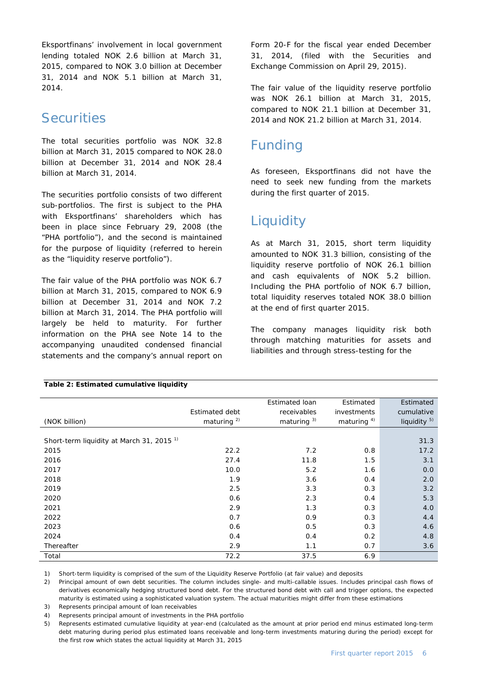Eksportfinans' involvement in local government lending totaled NOK 2.6 billion at March 31, 2015, compared to NOK 3.0 billion at December 31, 2014 and NOK 5.1 billion at March 31, 2014.

# **Securities**

The total securities portfolio was NOK 32.8 billion at March 31, 2015 compared to NOK 28.0 billion at December 31, 2014 and NOK 28.4 billion at March 31, 2014.

The securities portfolio consists of two different sub-portfolios. The first is subject to the PHA with Eksportfinans' shareholders which has been in place since February 29, 2008 (the "PHA portfolio"), and the second is maintained for the purpose of liquidity (referred to herein as the "liquidity reserve portfolio").

The fair value of the PHA portfolio was NOK 6.7 billion at March 31, 2015, compared to NOK 6.9 billion at December 31, 2014 and NOK 7.2 billion at March 31, 2014. The PHA portfolio will largely be held to maturity. For further information on the PHA see Note 14 to the accompanying unaudited condensed financial statements and the company's annual report on Form 20-F for the fiscal year ended December 31, 2014, (filed with the Securities and Exchange Commission on April 29, 2015).

The fair value of the liquidity reserve portfolio was NOK 26.1 billion at March 31, 2015, compared to NOK 21.1 billion at December 31, 2014 and NOK 21.2 billion at March 31, 2014.

# Funding

As foreseen, Eksportfinans did not have the need to seek new funding from the markets during the first quarter of 2015.

# **Liquidity**

As at March 31, 2015, short term liquidity amounted to NOK 31.3 billion, consisting of the liquidity reserve portfolio of NOK 26.1 billion and cash equivalents of NOK 5.2 billion. Including the PHA portfolio of NOK 6.7 billion, total liquidity reserves totaled NOK 38.0 billion at the end of first quarter 2015.

The company manages liquidity risk both through matching maturities for assets and liabilities and through stress-testing for the

|                                                      |                       | <b>Estimated loan</b> | Estimated      | Estimated               |
|------------------------------------------------------|-----------------------|-----------------------|----------------|-------------------------|
|                                                      | <b>Estimated debt</b> | receivables           | investments    | cumulative              |
| (NOK billion)                                        | maturing $^{2)}$      | maturing $3)$         | maturing $4$ ) | liquidity <sup>5)</sup> |
|                                                      |                       |                       |                |                         |
| Short-term liquidity at March 31, 2015 <sup>1)</sup> |                       |                       |                | 31.3                    |
| 2015                                                 | 22.2                  | 7.2                   | 0.8            | 17.2                    |
| 2016                                                 | 27.4                  | 11.8                  | 1.5            | 3.1                     |
| 2017                                                 | 10.0                  | 5.2                   | 1.6            | 0.0                     |
| 2018                                                 | 1.9                   | 3.6                   | 0.4            | 2.0                     |
| 2019                                                 | 2.5                   | 3.3                   | 0.3            | 3.2                     |
| 2020                                                 | 0.6                   | 2.3                   | 0.4            | 5.3                     |
| 2021                                                 | 2.9                   | 1.3                   | 0.3            | 4.0                     |
| 2022                                                 | 0.7                   | 0.9                   | 0.3            | 4.4                     |
| 2023                                                 | 0.6                   | 0.5                   | 0.3            | 4.6                     |
| 2024                                                 | 0.4                   | 0.4                   | 0.2            | 4.8                     |
| Thereafter                                           | 2.9                   | 1.1                   | 0.7            | 3.6                     |
| Total                                                | 72.2                  | 37.5                  | 6.9            |                         |

## **Table 2: Estimated cumulative liquidity**

1) Short-term liquidity is comprised of the sum of the Liquidity Reserve Portfolio (at fair value) and deposits

2) Principal amount of own debt securities. The column includes single- and multi-callable issues. Includes principal cash flows of derivatives economically hedging structured bond debt. For the structured bond debt with call and trigger options, the expected maturity is estimated using a sophisticated valuation system. The actual maturities might differ from these estimations

3) Represents principal amount of loan receivables

4) Represents principal amount of investments in the PHA portfolio

5) Represents estimated cumulative liquidity at year-end (calculated as the amount at prior period end minus estimated long-term debt maturing during period plus estimated loans receivable and long-term investments maturing during the period) except for the first row which states the actual liquidity at March 31, 2015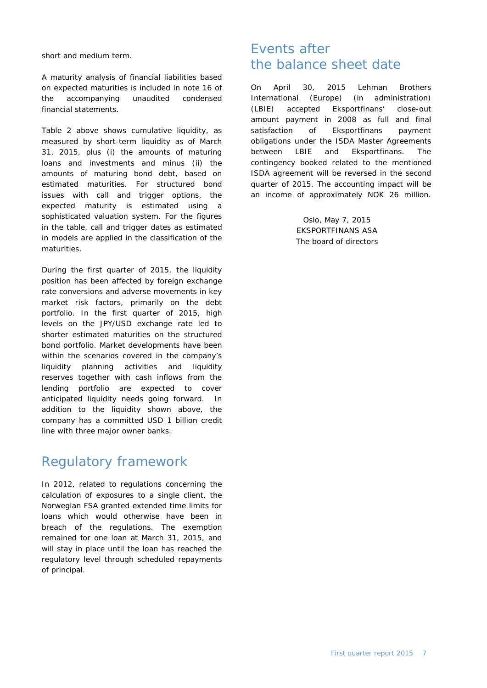short and medium term.

A maturity analysis of financial liabilities based on expected maturities is included in note 16 of the accompanying unaudited condensed financial statements.

Table 2 above shows cumulative liquidity, as measured by short-term liquidity as of March 31, 2015, plus (i) the amounts of maturing loans and investments and minus (ii) the amounts of maturing bond debt, based on estimated maturities. For structured bond issues with call and trigger options, the expected maturity is estimated using a sophisticated valuation system. For the figures in the table, call and trigger dates as estimated in models are applied in the classification of the maturities.

During the first quarter of 2015, the liquidity position has been affected by foreign exchange rate conversions and adverse movements in key market risk factors, primarily on the debt portfolio. In the first quarter of 2015, high levels on the JPY/USD exchange rate led to shorter estimated maturities on the structured bond portfolio. Market developments have been within the scenarios covered in the company's liquidity planning activities and liquidity reserves together with cash inflows from the lending portfolio are expected to cover anticipated liquidity needs going forward. In addition to the liquidity shown above, the company has a committed USD 1 billion credit line with three major owner banks.

# Regulatory framework

In 2012, related to regulations concerning the calculation of exposures to a single client, the Norwegian FSA granted extended time limits for loans which would otherwise have been in breach of the regulations. The exemption remained for one loan at March 31, 2015, and will stay in place until the loan has reached the regulatory level through scheduled repayments of principal.

# Events after the balance sheet date

On April 30, 2015 Lehman Brothers International (Europe) (in administration) (LBIE) accepted Eksportfinans' close-out amount payment in 2008 as full and final satisfaction of Eksportfinans payment obligations under the ISDA Master Agreements between LBIE and Eksportfinans. The contingency booked related to the mentioned ISDA agreement will be reversed in the second quarter of 2015. The accounting impact will be an income of approximately NOK 26 million.

> Oslo, May 7, 2015 EKSPORTFINANS ASA The board of directors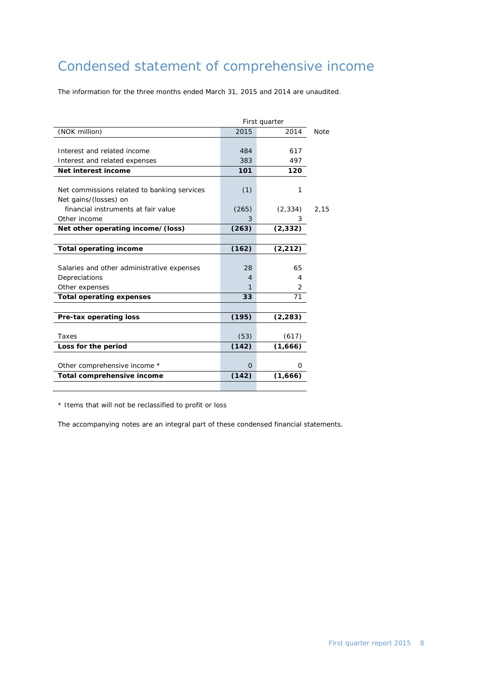# Condensed statement of comprehensive income

The information for the three months ended March 31, 2015 and 2014 are unaudited.

| First quarter                               |              |          |      |  |
|---------------------------------------------|--------------|----------|------|--|
| (NOK million)                               | 2015<br>2014 |          |      |  |
|                                             |              |          |      |  |
| Interest and related income                 | 484          | 617      |      |  |
| Interest and related expenses               | 383          | 497      |      |  |
| Net interest income                         | 101          | 120      |      |  |
|                                             |              |          |      |  |
| Net commissions related to banking services | (1)          | 1        |      |  |
| Net gains/(losses) on                       |              |          |      |  |
| financial instruments at fair value         | (265)        | (2, 334) | 2,15 |  |
| Other income                                | 3            | 3        |      |  |
| Net other operating income/(loss)           | (263)        | (2, 332) |      |  |
|                                             |              |          |      |  |
| <b>Total operating income</b>               | (162)        | (2, 212) |      |  |
|                                             |              |          |      |  |
| Salaries and other administrative expenses  | 28           | 65       |      |  |
| Depreciations                               | 4            | 4        |      |  |
| Other expenses                              | 1            | 2        |      |  |
| <b>Total operating expenses</b>             | 33           | 71       |      |  |
|                                             |              |          |      |  |
| Pre-tax operating loss                      | (195)        | (2, 283) |      |  |
|                                             |              |          |      |  |
| Taxes                                       | (53)         | (617)    |      |  |
| Loss for the period                         | (142)        | (1,666)  |      |  |
| Other comprehensive income *                | $\Omega$     | O        |      |  |
| Total comprehensive income                  | (142)        | (1,666)  |      |  |
|                                             |              |          |      |  |

\* Items that will not be reclassified to profit or loss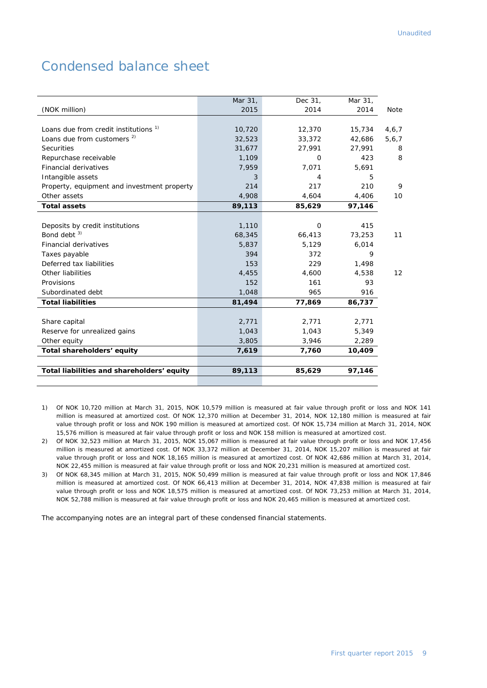# Condensed balance sheet

|                                                  | Mar 31, | Dec 31,      | Mar 31, |       |
|--------------------------------------------------|---------|--------------|---------|-------|
| (NOK million)                                    | 2015    | 2014         | 2014    | Note  |
|                                                  |         |              |         |       |
| Loans due from credit institutions <sup>1)</sup> | 10,720  | 12,370       | 15,734  | 4,6,7 |
| Loans due from customers <sup>2)</sup>           | 32,523  | 33,372       | 42,686  | 5,6,7 |
| <b>Securities</b>                                | 31,677  | 27,991       | 27,991  | 8     |
| Repurchase receivable                            | 1,109   | 0            | 423     | 8     |
| <b>Financial derivatives</b>                     | 7,959   | 7,071        | 5,691   |       |
| Intangible assets                                | 3       | 4            | 5       |       |
| Property, equipment and investment property      | 214     | 217          | 210     | 9     |
| Other assets                                     | 4,908   | 4,604        | 4,406   | 10    |
| <b>Total assets</b>                              | 89,113  | 85,629       | 97,146  |       |
|                                                  |         |              |         |       |
| Deposits by credit institutions                  | 1,110   | $\mathbf{O}$ | 415     |       |
| Bond debt <sup>3)</sup>                          | 68,345  | 66,413       | 73,253  | 11    |
| Financial derivatives                            | 5,837   | 5,129        | 6,014   |       |
| Taxes payable                                    | 394     | 372          | 9       |       |
| Deferred tax liabilities                         | 153     | 229          | 1,498   |       |
| Other liabilities                                | 4,455   | 4,600        | 4,538   | 12    |
| Provisions                                       | 152     | 161          | 93      |       |
| Subordinated debt                                | 1,048   | 965          | 916     |       |
| <b>Total liabilities</b>                         | 81,494  | 77,869       | 86,737  |       |
|                                                  |         |              |         |       |
| Share capital                                    | 2,771   | 2,771        | 2,771   |       |
| Reserve for unrealized gains                     | 1,043   | 1,043        | 5,349   |       |
| Other equity                                     | 3,805   | 3,946        | 2,289   |       |
| Total shareholders' equity                       | 7,619   | 7,760        | 10,409  |       |
|                                                  |         |              |         |       |
| Total liabilities and shareholders' equity       | 89,113  | 85,629       | 97,146  |       |
|                                                  |         |              |         |       |

- 1) Of NOK 10,720 million at March 31, 2015, NOK 10,579 million is measured at fair value through profit or loss and NOK 141 million is measured at amortized cost. Of NOK 12,370 million at December 31, 2014, NOK 12,180 million is measured at fair value through profit or loss and NOK 190 million is measured at amortized cost. Of NOK 15,734 million at March 31, 2014, NOK 15,576 million is measured at fair value through profit or loss and NOK 158 million is measured at amortized cost.
- 2) Of NOK 32,523 million at March 31, 2015, NOK 15,067 million is measured at fair value through profit or loss and NOK 17,456 million is measured at amortized cost. Of NOK 33,372 million at December 31, 2014, NOK 15,207 million is measured at fair value through profit or loss and NOK 18,165 million is measured at amortized cost. Of NOK 42,686 million at March 31, 2014, NOK 22,455 million is measured at fair value through profit or loss and NOK 20,231 million is measured at amortized cost.
- 3) Of NOK 68,345 million at March 31, 2015, NOK 50,499 million is measured at fair value through profit or loss and NOK 17,846 million is measured at amortized cost. Of NOK 66,413 million at December 31, 2014, NOK 47,838 million is measured at fair value through profit or loss and NOK 18,575 million is measured at amortized cost. Of NOK 73,253 million at March 31, 2014, NOK 52,788 million is measured at fair value through profit or loss and NOK 20,465 million is measured at amortized cost.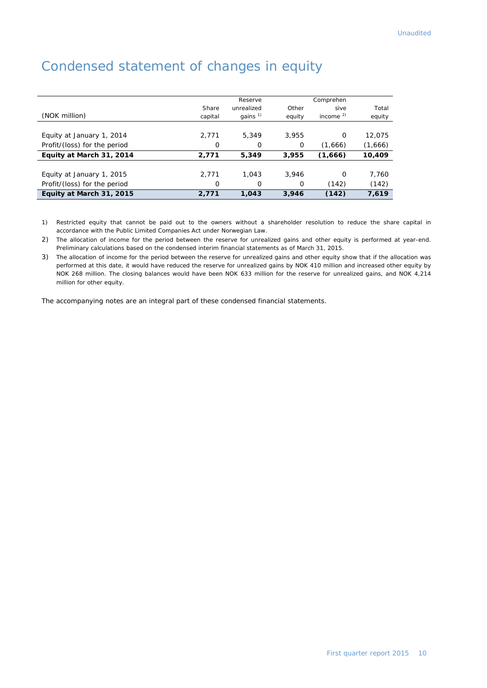|                              |         | Reserve    |        | Comprehen  |         |
|------------------------------|---------|------------|--------|------------|---------|
|                              | Share   | unrealized | Other  | sive       | Total   |
| (NOK million)                | capital | gains $1$  | equity | income $2$ | equity  |
|                              |         |            |        |            |         |
| Equity at January 1, 2014    | 2,771   | 5,349      | 3.955  | $\Omega$   | 12,075  |
| Profit/(loss) for the period | 0       | 0          | 0      | (1,666)    | (1,666) |
| Equity at March 31, 2014     | 2,771   | 5,349      | 3,955  | (1,666)    | 10,409  |
| Equity at January 1, 2015    | 2,771   | 1,043      | 3.946  | $\Omega$   | 7,760   |
| Profit/(loss) for the period | 0       | 0          | 0      | (142)      | (142)   |
| Equity at March 31, 2015     | 2,771   | 1.043      | 3,946  | (142)      | 7,619   |

# Condensed statement of changes in equity

1) Restricted equity that cannot be paid out to the owners without a shareholder resolution to reduce the share capital in accordance with the Public Limited Companies Act under Norwegian Law.

2) The allocation of income for the period between the reserve for unrealized gains and other equity is performed at year-end. Preliminary calculations based on the condensed interim financial statements as of March 31, 2015.

3) The allocation of income for the period between the reserve for unrealized gains and other equity show that if the allocation was performed at this date, it would have reduced the reserve for unrealized gains by NOK 410 million and increased other equity by NOK 268 million. The closing balances would have been NOK 633 million for the reserve for unrealized gains, and NOK 4,214 million for other equity.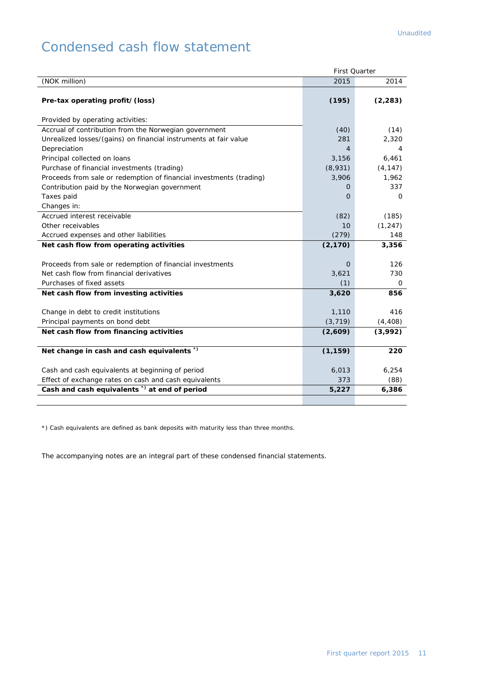# Condensed cash flow statement

|                                                                     | <b>First Ouarter</b> |          |
|---------------------------------------------------------------------|----------------------|----------|
| (NOK million)                                                       | 2015                 | 2014     |
|                                                                     |                      |          |
| Pre-tax operating profit/(loss)                                     | (195)                | (2, 283) |
|                                                                     |                      |          |
| Provided by operating activities:                                   |                      |          |
| Accrual of contribution from the Norwegian government               | (40)                 | (14)     |
| Unrealized losses/(gains) on financial instruments at fair value    | 281                  | 2,320    |
| Depreciation                                                        | $\overline{4}$       | 4        |
| Principal collected on loans                                        | 3,156                | 6,461    |
| Purchase of financial investments (trading)                         | (8,931)              | (4, 147) |
| Proceeds from sale or redemption of financial investments (trading) | 3,906                | 1,962    |
| Contribution paid by the Norwegian government                       | 0                    | 337      |
| Taxes paid                                                          | $\Omega$             | $\Omega$ |
| Changes in:                                                         |                      |          |
| Accrued interest receivable                                         | (82)                 | (185)    |
| Other receivables                                                   | 10                   | (1, 247) |
| Accrued expenses and other liabilities                              | (279)                | 148      |
| Net cash flow from operating activities                             | (2, 170)             | 3,356    |
|                                                                     |                      |          |
| Proceeds from sale or redemption of financial investments           | 0                    | 126      |
| Net cash flow from financial derivatives                            | 3,621                | 730      |
| Purchases of fixed assets                                           | (1)                  | 0        |
| Net cash flow from investing activities                             | 3,620                | 856      |
|                                                                     |                      |          |
| Change in debt to credit institutions                               | 1,110                | 416      |
| Principal payments on bond debt                                     | (3, 719)             | (4, 408) |
| Net cash flow from financing activities                             | (2,609)              | (3,992)  |
|                                                                     |                      |          |
| Net change in cash and cash equivalents *)                          | (1, 159)             | 220      |
|                                                                     |                      |          |
| Cash and cash equivalents at beginning of period                    | 6,013                | 6,254    |
| Effect of exchange rates on cash and cash equivalents               | 373                  | (88)     |
| Cash and cash equivalents <sup>*</sup> ) at end of period           | 5,227                | 6,386    |
|                                                                     |                      |          |

\*) Cash equivalents are defined as bank deposits with maturity less than three months.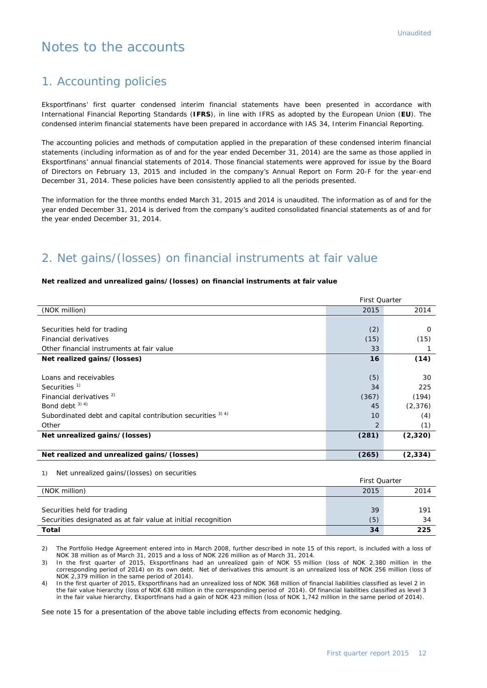# Notes to the accounts

## 1. Accounting policies

Eksportfinans' first quarter condensed interim financial statements have been presented in accordance with International Financial Reporting Standards (**IFRS**), in line with IFRS as adopted by the European Union (**EU**). The condensed interim financial statements have been prepared in accordance with IAS 34, Interim Financial Reporting.

The accounting policies and methods of computation applied in the preparation of these condensed interim financial statements (including information as of and for the year ended December 31, 2014) are the same as those applied in Eksportfinans' annual financial statements of 2014. Those financial statements were approved for issue by the Board of Directors on February 13, 2015 and included in the company's Annual Report on Form 20-F for the year-end December 31, 2014. These policies have been consistently applied to all the periods presented.

The information for the three months ended March 31, 2015 and 2014 is unaudited. The information as of and for the year ended December 31, 2014 is derived from the company's audited consolidated financial statements as of and for the year ended December 31, 2014.

## 2. Net gains/(losses) on financial instruments at fair value

#### **Net realized and unrealized gains/(losses) on financial instruments at fair value**

|                                                             | <b>First Quarter</b> |          |  |
|-------------------------------------------------------------|----------------------|----------|--|
| (NOK million)                                               | 2015                 | 2014     |  |
|                                                             |                      |          |  |
| Securities held for trading                                 | (2)                  | $\Omega$ |  |
| Financial derivatives                                       | (15)                 | (15)     |  |
| Other financial instruments at fair value                   | 33                   |          |  |
| Net realized gains/(losses)                                 | 16                   | (14)     |  |
|                                                             |                      |          |  |
| Loans and receivables                                       | (5)                  | 30       |  |
| Securities <sup>1)</sup>                                    | 34                   | 225      |  |
| Financial derivatives <sup>2)</sup>                         | (367)                | (194)    |  |
| Bond debt $3)$ 4)                                           | 45                   | (2, 376) |  |
| Subordinated debt and capital contribution securities 3) 4) | 10                   | (4)      |  |
| Other                                                       | $\mathcal{P}$        | (1)      |  |
| Net unrealized gains/(losses)                               | (281)                | (2, 320) |  |
|                                                             |                      |          |  |
| Net realized and unrealized gains/(losses)                  | (265)                | (2, 334) |  |

1) Net unrealized gains/(losses) on securities

|                                                               | <b>First Quarter</b> |      |  |
|---------------------------------------------------------------|----------------------|------|--|
| (NOK million)                                                 | 2015                 | 2014 |  |
|                                                               |                      |      |  |
| Securities held for trading                                   | 39                   | 191  |  |
| Securities designated as at fair value at initial recognition | (5)                  | 34   |  |
| Total                                                         | 34                   | 225  |  |

2) The Portfolio Hedge Agreement entered into in March 2008, further described in note 15 of this report, is included with a loss of NOK 38 million as of March 31, 2015 and a loss of NOK 226 million as of March 31, 2014.

3) In the first quarter of 2015, Eksportfinans had an unrealized gain of NOK 55 million (loss of NOK 2,380 million in the corresponding period of 2014) on its own debt. Net of derivatives this amount is an unrealized loss of NOK 256 million (loss of NOK 2,379 million in the same period of 2014).

4) In the first quarter of 2015, Eksportfinans had an unrealized loss of NOK 368 million of financial liabilities classified as level 2 in the fair value hierarchy (loss of NOK 638 million in the corresponding period of 2014). Of financial liabilities classified as level 3 in the fair value hierarchy, Eksportfinans had a gain of NOK 423 million (loss of NOK 1,742 million in the same period of 2014).

See note 15 for a presentation of the above table including effects from economic hedging.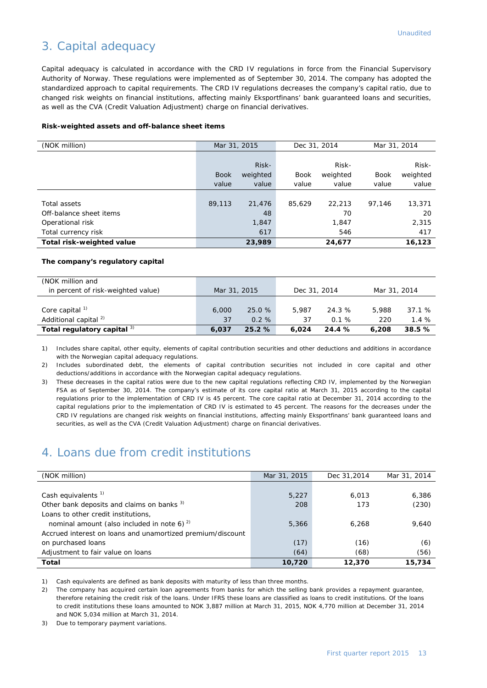## 3. Capital adequacy

Capital adequacy is calculated in accordance with the CRD IV regulations in force from the Financial Supervisory Authority of Norway. These regulations were implemented as of September 30, 2014. The company has adopted the standardized approach to capital requirements. The CRD IV regulations decreases the company's capital ratio, due to changed risk weights on financial institutions, affecting mainly Eksportfinans' bank guaranteed loans and securities, as well as the CVA (Credit Valuation Adjustment) charge on financial derivatives.

#### **Risk-weighted assets and off-balance sheet items**

| (NOK million)             | Mar 31, 2015 |          | Dec 31, 2014 |          | Mar 31, 2014 |          |
|---------------------------|--------------|----------|--------------|----------|--------------|----------|
|                           |              |          |              |          |              |          |
|                           |              | Risk-    |              | Risk-    |              | Risk-    |
|                           | <b>Book</b>  | weighted | <b>Book</b>  | weighted | <b>Book</b>  | weighted |
|                           | value        | value    | value        | value    | value        | value    |
|                           |              |          |              |          |              |          |
| Total assets              | 89,113       | 21,476   | 85.629       | 22,213   | 97.146       | 13,371   |
| Off-balance sheet items   |              | 48       |              | 70       |              | 20       |
| Operational risk          |              | 1,847    |              | 1,847    |              | 2,315    |
| Total currency risk       |              | 617      |              | 546      |              | 417      |
| Total risk-weighted value |              | 23,989   |              | 24,677   |              | 16,123   |

#### **The company's regulatory capital**

| (NOK million and<br>in percent of risk-weighted value)         | Mar 31, 2015 |                    | Dec 31, 2014 |                | Mar 31, 2014 |               |
|----------------------------------------------------------------|--------------|--------------------|--------------|----------------|--------------|---------------|
| Core capital <sup>1)</sup><br>Additional capital <sup>2)</sup> | 6,000<br>37  | 25.0 %<br>$0.2 \%$ | 5,987<br>37  | 24.3 %<br>0.1% | 5,988<br>220 | 37.1%<br>1.4% |
| Total regulatory capital 3)                                    | 6.037        | 25.2%              | 6.024        | 24.4 %         | 6,208        | 38.5%         |

1) Includes share capital, other equity, elements of capital contribution securities and other deductions and additions in accordance with the Norwegian capital adequacy regulations.

2) Includes subordinated debt, the elements of capital contribution securities not included in core capital and other deductions/additions in accordance with the Norwegian capital adequacy regulations.

3) These decreases in the capital ratios were due to the new capital regulations reflecting CRD IV, implemented by the Norwegian FSA as of September 30, 2014. The company's estimate of its core capital ratio at March 31, 2015 according to the capital regulations prior to the implementation of CRD IV is 45 percent. The core capital ratio at December 31, 2014 according to the capital regulations prior to the implementation of CRD IV is estimated to 45 percent. The reasons for the decreases under the CRD IV regulations are changed risk weights on financial institutions, affecting mainly Eksportfinans' bank guaranteed loans and securities, as well as the CVA (Credit Valuation Adjustment) charge on financial derivatives.

## 4. Loans due from credit institutions

| (NOK million)                                              | Mar 31, 2015 | Dec 31,2014 | Mar 31, 2014 |
|------------------------------------------------------------|--------------|-------------|--------------|
|                                                            |              |             |              |
| Cash equivalents $1$                                       | 5,227        | 6,013       | 6,386        |
| Other bank deposits and claims on banks <sup>3)</sup>      | 208          | 173         | (230)        |
| Loans to other credit institutions,                        |              |             |              |
| nominal amount (also included in note 6) $^{2}$            | 5,366        | 6.268       | 9.640        |
| Accrued interest on loans and unamortized premium/discount |              |             |              |
| on purchased loans                                         | (17)         | (16)        | (6)          |
| Adjustment to fair value on loans                          | (64)         | (68)        | (56)         |
| Total                                                      | 10,720       | 12,370      | 15,734       |

1) Cash equivalents are defined as bank deposits with maturity of less than three months.

2) The company has acquired certain loan agreements from banks for which the selling bank provides a repayment guarantee, therefore retaining the credit risk of the loans. Under IFRS these loans are classified as loans to credit institutions. Of the loans to credit institutions these loans amounted to NOK 3,887 million at March 31, 2015, NOK 4,770 million at December 31, 2014 and NOK 5,034 million at March 31, 2014.

3) Due to temporary payment variations.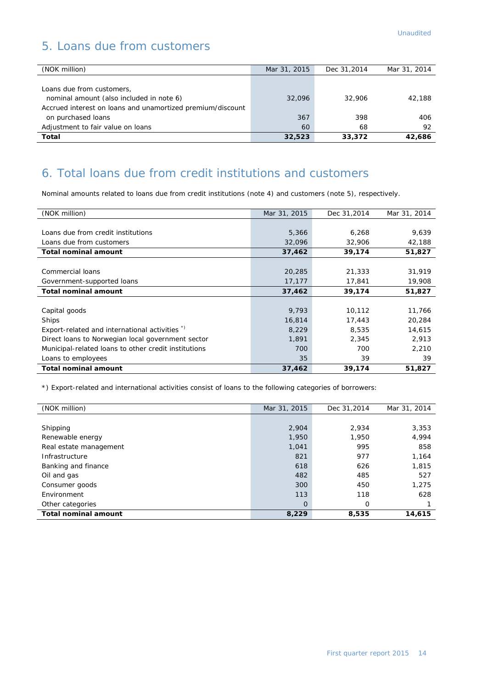# 5. Loans due from customers

| (NOK million)                                              | Mar 31, 2015 | Dec 31,2014 | Mar 31, 2014 |
|------------------------------------------------------------|--------------|-------------|--------------|
|                                                            |              |             |              |
| Loans due from customers,                                  |              |             |              |
| nominal amount (also included in note 6)                   | 32,096       | 32,906      | 42.188       |
| Accrued interest on loans and unamortized premium/discount |              |             |              |
| on purchased loans                                         | 367          | 398         | 406          |
| Adjustment to fair value on loans                          | 60           | 68          | 92           |
| Total                                                      | 32,523       | 33,372      | 42,686       |

## 6. Total loans due from credit institutions and customers

Nominal amounts related to loans due from credit institutions (note 4) and customers (note 5), respectively.

| (NOK million)                                        | Mar 31, 2015 | Dec 31,2014 | Mar 31, 2014 |
|------------------------------------------------------|--------------|-------------|--------------|
|                                                      |              |             |              |
| Loans due from credit institutions                   | 5,366        | 6,268       | 9,639        |
| Loans due from customers                             | 32,096       | 32,906      | 42,188       |
| <b>Total nominal amount</b>                          | 37,462       | 39,174      | 51,827       |
|                                                      |              |             |              |
| Commercial loans                                     | 20,285       | 21,333      | 31,919       |
| Government-supported loans                           | 17,177       | 17,841      | 19,908       |
| <b>Total nominal amount</b>                          | 37,462       | 39,174      | 51,827       |
|                                                      |              |             |              |
| Capital goods                                        | 9,793        | 10,112      | 11,766       |
| Ships                                                | 16,814       | 17,443      | 20,284       |
| Export-related and international activities *)       | 8,229        | 8,535       | 14,615       |
| Direct loans to Norwegian local government sector    | 1,891        | 2,345       | 2,913        |
| Municipal-related loans to other credit institutions | 700          | 700         | 2,210        |
| Loans to employees                                   | 35           | 39          | 39           |
| <b>Total nominal amount</b>                          | 37,462       | 39,174      | 51,827       |

\*) Export-related and international activities consist of loans to the following categories of borrowers:

| (NOK million)               | Mar 31, 2015 | Dec 31,2014 | Mar 31, 2014 |
|-----------------------------|--------------|-------------|--------------|
|                             |              |             |              |
| Shipping                    | 2,904        | 2,934       | 3,353        |
| Renewable energy            | 1,950        | 1,950       | 4,994        |
| Real estate management      | 1,041        | 995         | 858          |
| Infrastructure              | 821          | 977         | 1,164        |
| Banking and finance         | 618          | 626         | 1,815        |
| Oil and gas                 | 482          | 485         | 527          |
| Consumer goods              | 300          | 450         | 1,275        |
| Environment                 | 113          | 118         | 628          |
| Other categories            | $\Omega$     | 0           |              |
| <b>Total nominal amount</b> | 8,229        | 8,535       | 14,615       |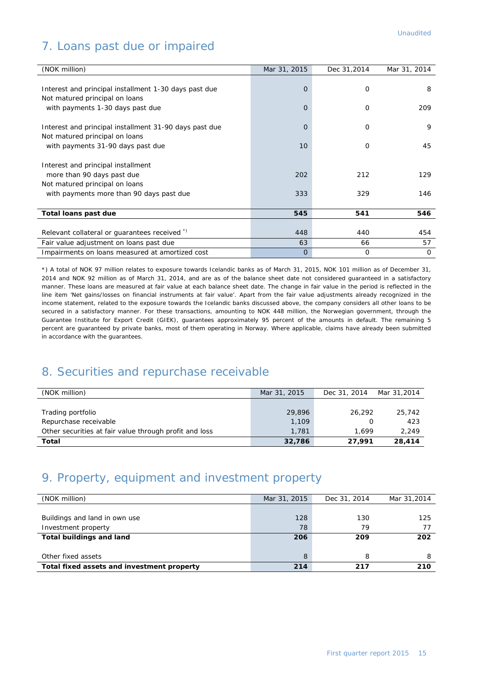# 7. Loans past due or impaired

| (NOK million)                                          | Mar 31, 2015   | Dec 31,2014 | Mar 31, 2014 |
|--------------------------------------------------------|----------------|-------------|--------------|
|                                                        |                |             |              |
| Interest and principal installment 1-30 days past due  | $\overline{O}$ | 0           | 8            |
| Not matured principal on loans                         |                |             |              |
| with payments 1-30 days past due                       | $\Omega$       | $\Omega$    | 209          |
|                                                        |                |             |              |
| Interest and principal installment 31-90 days past due | 0              | $\Omega$    | 9            |
| Not matured principal on loans                         |                |             |              |
| with payments 31-90 days past due                      | 10             | 0           | 45           |
|                                                        |                |             |              |
| Interest and principal installment                     |                |             |              |
| more than 90 days past due                             | 202            | 212         | 129          |
| Not matured principal on loans                         |                |             |              |
| with payments more than 90 days past due               | 333            | 329         | 146          |
|                                                        |                |             |              |
| Total loans past due                                   | 545            | 541         | 546          |
|                                                        |                |             |              |
| Relevant collateral or guarantees received *)          | 448            | 440         | 454          |
| Fair value adjustment on loans past due                | 63             | 66          | 57           |
| Impairments on loans measured at amortized cost        | 0              | 0           | 0            |

\*) A total of NOK 97 million relates to exposure towards Icelandic banks as of March 31, 2015, NOK 101 million as of December 31, 2014 and NOK 92 million as of March 31, 2014, and are as of the balance sheet date not considered guaranteed in a satisfactory manner. These loans are measured at fair value at each balance sheet date. The change in fair value in the period is reflected in the line item 'Net gains/losses on financial instruments at fair value'. Apart from the fair value adjustments already recognized in the income statement, related to the exposure towards the Icelandic banks discussed above, the company considers all other loans to be secured in a satisfactory manner. For these transactions, amounting to NOK 448 million, the Norwegian government, through the Guarantee Institute for Export Credit (GIEK), guarantees approximately 95 percent of the amounts in default. The remaining 5 percent are guaranteed by private banks, most of them operating in Norway. Where applicable, claims have already been submitted in accordance with the guarantees.

## 8. Securities and repurchase receivable

| (NOK million)                                          | Mar 31, 2015 | Dec 31, 2014 | Mar 31,2014 |
|--------------------------------------------------------|--------------|--------------|-------------|
|                                                        |              |              |             |
| Trading portfolio                                      | 29,896       | 26.292       | 25,742      |
| Repurchase receivable                                  | 1,109        |              | 423         |
| Other securities at fair value through profit and loss | 1,781        | 1.699        | 2.249       |
| Total                                                  | 32,786       | 27.991       | 28,414      |

## 9. Property, equipment and investment property

| (NOK million)                              | Mar 31, 2015 | Dec 31, 2014 | Mar 31,2014 |
|--------------------------------------------|--------------|--------------|-------------|
|                                            |              |              |             |
| Buildings and land in own use              | 128          | 130          | 125         |
| Investment property                        | 78           | 79           |             |
| <b>Total buildings and land</b>            | 206          | 209          | 202         |
|                                            |              |              |             |
| Other fixed assets                         | 8            | 8            | 8           |
| Total fixed assets and investment property | 214          | 217          | 210         |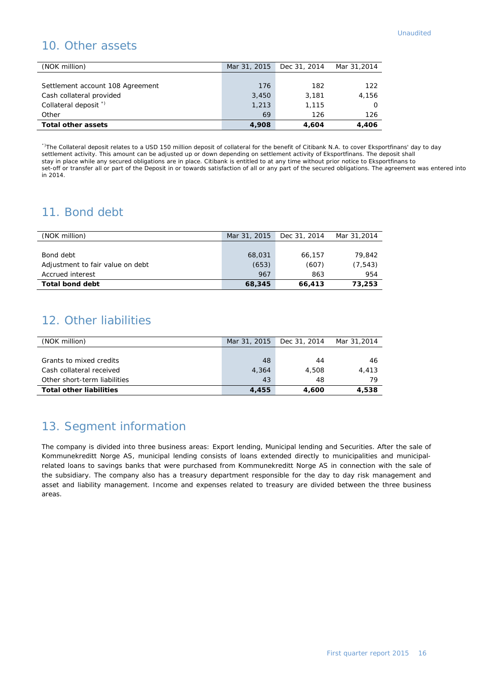## 10. Other assets

| (NOK million)                    | Mar 31, 2015 | Dec 31, 2014 | Mar 31,2014 |
|----------------------------------|--------------|--------------|-------------|
|                                  |              |              |             |
| Settlement account 108 Agreement | 176          | 182          | 122         |
| Cash collateral provided         | 3,450        | 3,181        | 4.156       |
| Collateral deposit <sup>*</sup>  | 1,213        | 1,115        |             |
| Other                            | 69           | 126          | 126         |
| <b>Total other assets</b>        | 4,908        | 4.604        | 4,406       |

\*)The Collateral deposit relates to a USD 150 million deposit of collateral for the benefit of Citibank N.A. to cover Eksportfinans' day to day settlement activity. This amount can be adjusted up or down depending on settlement activity of Eksportfinans. The deposit shall stay in place while any secured obligations are in place. Citibank is entitled to at any time without prior notice to Eksportfinans to set-off or transfer all or part of the Deposit in or towards satisfaction of all or any part of the secured obligations. The agreement was entered into in 2014.

## 11. Bond debt

| (NOK million)                    | Mar 31, 2015 | Dec 31, 2014 | Mar 31,2014 |
|----------------------------------|--------------|--------------|-------------|
|                                  |              |              |             |
| Bond debt                        | 68,031       | 66.157       | 79.842      |
| Adjustment to fair value on debt | (653)        | (607)        | (7, 543)    |
| Accrued interest                 | 967          | 863          | 954         |
| Total bond debt                  | 68,345       | 66,413       | 73,253      |

## 12. Other liabilities

| (NOK million)                  | Mar 31, 2015 | Dec 31, 2014 | Mar 31,2014 |
|--------------------------------|--------------|--------------|-------------|
|                                |              |              |             |
| Grants to mixed credits        | 48           | 44           | 46          |
| Cash collateral received       | 4,364        | 4,508        | 4.413       |
| Other short-term liabilities   | 43           | 48           | 79          |
| <b>Total other liabilities</b> | 4,455        | 4.600        | 4.538       |

# 13. Segment information

The company is divided into three business areas: Export lending, Municipal lending and Securities. After the sale of Kommunekreditt Norge AS, municipal lending consists of loans extended directly to municipalities and municipalrelated loans to savings banks that were purchased from Kommunekreditt Norge AS in connection with the sale of the subsidiary. The company also has a treasury department responsible for the day to day risk management and asset and liability management. Income and expenses related to treasury are divided between the three business areas.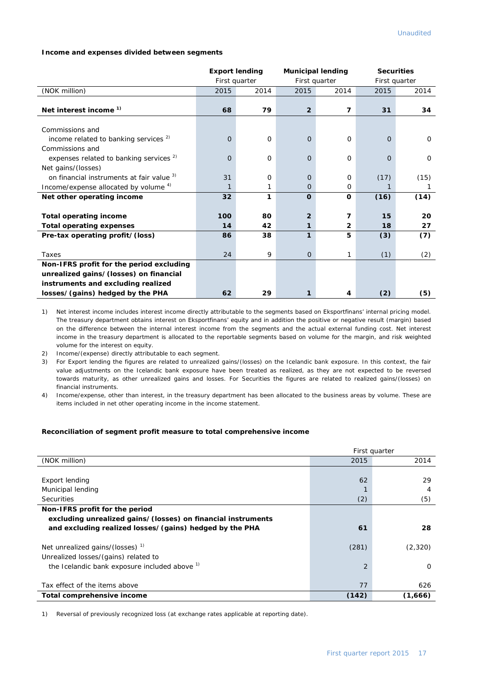#### **Income and expenses divided between segments**

|                                                    | <b>Export lending</b> |      | <b>Municipal lending</b> |                | <b>Securities</b> |          |
|----------------------------------------------------|-----------------------|------|--------------------------|----------------|-------------------|----------|
|                                                    | First quarter         |      | First quarter            |                | First quarter     |          |
| (NOK million)                                      | 2015                  | 2014 | 2015                     | 2014           | 2015              | 2014     |
|                                                    |                       |      |                          |                |                   |          |
| Net interest income <sup>1)</sup>                  | 68                    | 79   | $\overline{2}$           | 7              | 31                | 34       |
|                                                    |                       |      |                          |                |                   |          |
| Commissions and                                    |                       |      |                          |                |                   |          |
| income related to banking services $2$             | $\overline{O}$        | 0    | $\Omega$                 | $\mathbf 0$    | $\Omega$          | $\Omega$ |
| Commissions and                                    |                       |      |                          |                |                   |          |
| expenses related to banking services <sup>2)</sup> | $\mathbf 0$           | 0    | $\Omega$                 | $\mathbf 0$    | $\Omega$          | $\Omega$ |
| Net gains/(losses)                                 |                       |      |                          |                |                   |          |
| on financial instruments at fair value 3)          | 31                    | 0    | $\Omega$                 | $\Omega$       | (17)              | (15)     |
| Income/expense allocated by volume 4)              | $\mathbf{1}$          |      | 0                        | 0              | 1                 | 1        |
| Net other operating income                         | 32                    | 1    | $\mathbf 0$              | 0              | (16)              | (14)     |
|                                                    |                       |      |                          |                |                   |          |
| <b>Total operating income</b>                      | 100                   | 80   | $\overline{2}$           | 7              | 15                | 20       |
| <b>Total operating expenses</b>                    | 14                    | 42   | 1                        | $\overline{2}$ | 18                | 27       |
| Pre-tax operating profit/(loss)                    | 86                    | 38   | 1                        | 5              | (3)               | (7)      |
|                                                    |                       |      |                          |                |                   |          |
| Taxes                                              | 24                    | 9    | $\Omega$                 | 1              | (1)               | (2)      |
| Non-IFRS profit for the period excluding           |                       |      |                          |                |                   |          |
| unrealized gains/(losses) on financial             |                       |      |                          |                |                   |          |
| instruments and excluding realized                 |                       |      |                          |                |                   |          |
| losses/(gains) hedged by the PHA                   | 62                    | 29   |                          | 4              | (2)               | (5)      |

1) Net interest income includes interest income directly attributable to the segments based on Eksportfinans' internal pricing model. The treasury department obtains interest on Eksportfinans' equity and in addition the positive or negative result (margin) based on the difference between the internal interest income from the segments and the actual external funding cost. Net interest income in the treasury department is allocated to the reportable segments based on volume for the margin, and risk weighted volume for the interest on equity.

2) Income/(expense) directly attributable to each segment.

3) For Export lending the figures are related to unrealized gains/(losses) on the Icelandic bank exposure. In this context, the fair value adjustments on the Icelandic bank exposure have been treated as realized, as they are not expected to be reversed towards maturity, as other unrealized gains and losses. For Securities the figures are related to realized gains/(losses) on financial instruments.

4) Income/expense, other than interest, in the treasury department has been allocated to the business areas by volume. These are items included in net other operating income in the income statement.

#### **Reconciliation of segment profit measure to total comprehensive income**

|                                                                                     | First quarter |          |  |
|-------------------------------------------------------------------------------------|---------------|----------|--|
| (NOK million)                                                                       | 2015          | 2014     |  |
|                                                                                     |               |          |  |
| Export lending                                                                      | 62            | 29       |  |
| Municipal lending                                                                   |               | 4        |  |
| <b>Securities</b>                                                                   | (2)           | (5)      |  |
| Non-IFRS profit for the period                                                      |               |          |  |
| excluding unrealized gains/(losses) on financial instruments                        |               |          |  |
| and excluding realized losses/(gains) hedged by the PHA                             | 61            | 28       |  |
| Net unrealized gains/(losses) <sup>1)</sup><br>Unrealized losses/(gains) related to | (281)         | (2,320)  |  |
| the Icelandic bank exposure included above 1)                                       | 2             | $\Omega$ |  |
| Tax effect of the items above                                                       | 77            | 626      |  |
| Total comprehensive income                                                          | (142)         | (1,666)  |  |

1) Reversal of previously recognized loss (at exchange rates applicable at reporting date).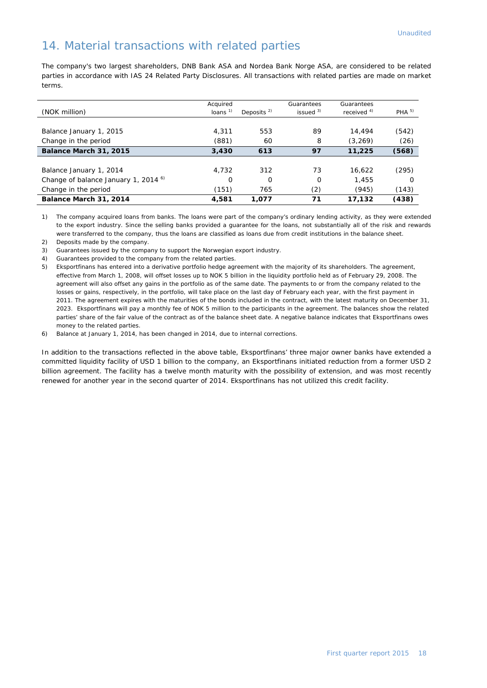## 14. Material transactions with related parties

The company's two largest shareholders, DNB Bank ASA and Nordea Bank Norge ASA, are considered to be related parties in accordance with IAS 24 Related Party Disclosures. All transactions with related parties are made on market terms.

| (NOK million)                                   | Acquired<br>loans $1$ | Deposits $2$ | Guarantees<br>issued $3$ | Guarantees<br>received $4)$ | PHA <sup>5</sup> |
|-------------------------------------------------|-----------------------|--------------|--------------------------|-----------------------------|------------------|
|                                                 |                       |              |                          |                             |                  |
| Balance January 1, 2015                         | 4,311                 | 553          | 89                       | 14,494                      | (542)            |
| Change in the period                            | (881)                 | 60           | 8                        | (3, 269)                    | (26)             |
| Balance March 31, 2015                          | 3,430                 | 613          | 97                       | 11,225                      | (568)            |
|                                                 |                       |              |                          |                             |                  |
| Balance January 1, 2014                         | 4,732                 | 312          | 73                       | 16.622                      | (295)            |
| Change of balance January 1, 2014 <sup>6)</sup> | O                     | 0            | $\Omega$                 | 1,455                       | ∩                |
| Change in the period                            | (151)                 | 765          | (2)                      | (945)                       | (143)            |
| Balance March 31, 2014                          | 4,581                 | 1,077        | 71                       | 17,132                      | (438)            |

1) The company acquired loans from banks. The loans were part of the company's ordinary lending activity, as they were extended to the export industry. Since the selling banks provided a guarantee for the loans, not substantially all of the risk and rewards were transferred to the company, thus the loans are classified as loans due from credit institutions in the balance sheet.

2) Deposits made by the company.

3) Guarantees issued by the company to support the Norwegian export industry.

4) Guarantees provided to the company from the related parties.

5) Eksportfinans has entered into a derivative portfolio hedge agreement with the majority of its shareholders. The agreement, effective from March 1, 2008, will offset losses up to NOK 5 billion in the liquidity portfolio held as of February 29, 2008. The agreement will also offset any gains in the portfolio as of the same date. The payments to or from the company related to the losses or gains, respectively, in the portfolio, will take place on the last day of February each year, with the first payment in 2011. The agreement expires with the maturities of the bonds included in the contract, with the latest maturity on December 31, 2023. Eksportfinans will pay a monthly fee of NOK 5 million to the participants in the agreement. The balances show the related parties' share of the fair value of the contract as of the balance sheet date. A negative balance indicates that Eksportfinans owes money to the related parties.

6) Balance at January 1, 2014, has been changed in 2014, due to internal corrections.

In addition to the transactions reflected in the above table, Eksportfinans' three major owner banks have extended a committed liquidity facility of USD 1 billion to the company, an Eksportfinans initiated reduction from a former USD 2 billion agreement. The facility has a twelve month maturity with the possibility of extension, and was most recently renewed for another year in the second quarter of 2014. Eksportfinans has not utilized this credit facility.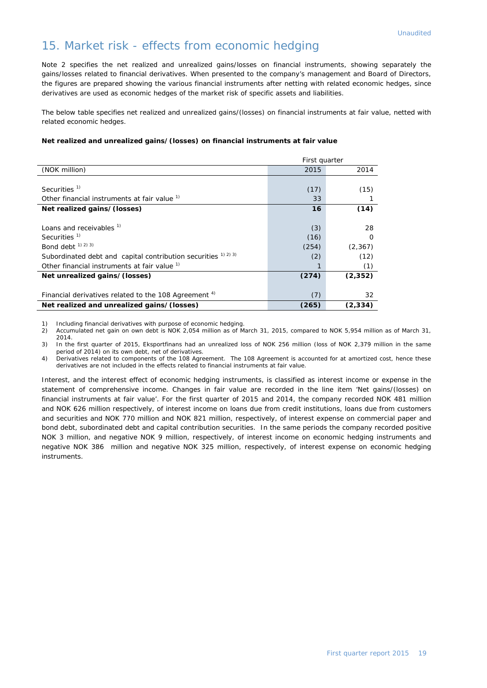## 15. Market risk - effects from economic hedging

Note 2 specifies the net realized and unrealized gains/losses on financial instruments, showing separately the gains/losses related to financial derivatives. When presented to the company's management and Board of Directors, the figures are prepared showing the various financial instruments after netting with related economic hedges, since derivatives are used as economic hedges of the market risk of specific assets and liabilities.

The below table specifies net realized and unrealized gains/(losses) on financial instruments at fair value, netted with related economic hedges.

#### **Net realized and unrealized gains/(losses) on financial instruments at fair value**

|                                                                  | First quarter |          |
|------------------------------------------------------------------|---------------|----------|
| (NOK million)                                                    | 2015          | 2014     |
|                                                                  |               |          |
| Securities <sup>1)</sup>                                         | (17)          | (15)     |
| Other financial instruments at fair value <sup>1)</sup>          | 33            |          |
| Net realized gains/(losses)                                      | 16            | (14)     |
|                                                                  |               |          |
| Loans and receivables <sup>1)</sup>                              | (3)           | 28       |
| Securities $1$                                                   | (16)          | $\Omega$ |
| Bond debt $(1)$ $(2)$ $(3)$                                      | (254)         | (2, 367) |
| Subordinated debt and capital contribution securities 1) 2) 3)   | (2)           | (12)     |
| Other financial instruments at fair value <sup>1)</sup>          |               | (1)      |
| Net unrealized gains/(losses)                                    | (274)         | (2, 352) |
|                                                                  |               |          |
| Financial derivatives related to the 108 Agreement <sup>4)</sup> | (7)           | 32       |
| Net realized and unrealized gains/(losses)                       | (265)         | (2, 334) |

1) Including financial derivatives with purpose of economic hedging.<br>2) Accumulated net gain on own debt is NOK 2,054 million as of M

2) Accumulated net gain on own debt is NOK 2,054 million as of March 31, 2015, compared to NOK 5,954 million as of March 31, 2014.

3) In the first quarter of 2015, Eksportfinans had an unrealized loss of NOK 256 million (loss of NOK 2,379 million in the same period of 2014) on its own debt, net of derivatives.

4) Derivatives related to components of the 108 Agreement. The 108 Agreement is accounted for at amortized cost, hence these derivatives are not included in the effects related to financial instruments at fair value.

Interest, and the interest effect of economic hedging instruments, is classified as interest income or expense in the statement of comprehensive income. Changes in fair value are recorded in the line item 'Net gains/(losses) on financial instruments at fair value'. For the first quarter of 2015 and 2014, the company recorded NOK 481 million and NOK 626 million respectively, of interest income on loans due from credit institutions, loans due from customers and securities and NOK 770 million and NOK 821 million, respectively, of interest expense on commercial paper and bond debt, subordinated debt and capital contribution securities. In the same periods the company recorded positive NOK 3 million, and negative NOK 9 million, respectively, of interest income on economic hedging instruments and negative NOK 386 million and negative NOK 325 million, respectively, of interest expense on economic hedging instruments.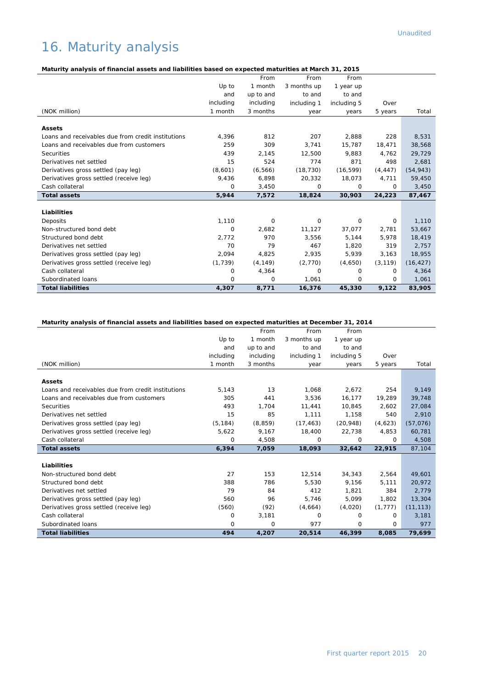# 16. Maturity analysis

## **Maturity analysis of financial assets and liabilities based on expected maturities at March 31, 2015**

|                                                    |           | From      | From        | From        |          |           |
|----------------------------------------------------|-----------|-----------|-------------|-------------|----------|-----------|
|                                                    | Up to     | 1 month   | 3 months up | 1 year up   |          |           |
|                                                    | and       | up to and | to and      | to and      |          |           |
|                                                    | including | including | including 1 | including 5 | Over     |           |
| (NOK million)                                      | 1 month   | 3 months  | year        | years       | 5 years  | Total     |
|                                                    |           |           |             |             |          |           |
| <b>Assets</b>                                      |           |           |             |             |          |           |
| Loans and receivables due from credit institutions | 4,396     | 812       | 207         | 2,888       | 228      | 8,531     |
| Loans and receivables due from customers           | 259       | 309       | 3,741       | 15,787      | 18,471   | 38,568    |
| Securities                                         | 439       | 2,145     | 12,500      | 9.883       | 4.762    | 29,729    |
| Derivatives net settled                            | 15        | 524       | 774         | 871         | 498      | 2,681     |
| Derivatives gross settled (pay leg)                | (8,601)   | (6, 566)  | (18, 730)   | (16, 599)   | (4, 447) | (54, 943) |
| Derivatives gross settled (receive leg)            | 9,436     | 6,898     | 20,332      | 18,073      | 4,711    | 59,450    |
| Cash collateral                                    | $\Omega$  | 3,450     | 0           | 0           | $\circ$  | 3,450     |
| <b>Total assets</b>                                | 5,944     | 7,572     | 18,824      | 30,903      | 24,223   | 87,467    |
|                                                    |           |           |             |             |          |           |
| Liabilities                                        |           |           |             |             |          |           |
| Deposits                                           | 1,110     | 0         | 0           | 0           | 0        | 1,110     |
| Non-structured bond debt                           | 0         | 2,682     | 11,127      | 37,077      | 2,781    | 53,667    |
| Structured bond debt                               | 2,772     | 970       | 3,556       | 5,144       | 5,978    | 18,419    |
| Derivatives net settled                            | 70        | 79        | 467         | 1,820       | 319      | 2,757     |
| Derivatives gross settled (pay leg)                | 2,094     | 4,825     | 2,935       | 5,939       | 3,163    | 18,955    |
| Derivatives gross settled (receive leg)            | (1, 739)  | (4, 149)  | (2,770)     | (4,650)     | (3, 119) | (16, 427) |
| Cash collateral                                    | 0         | 4,364     | 0           | 0           | 0        | 4,364     |
| Subordinated loans                                 | $\Omega$  | 0         | 1.061       | 0           | $\circ$  | 1,061     |
| <b>Total liabilities</b>                           | 4,307     | 8,771     | 16,376      | 45,330      | 9,122    | 83,905    |

## **Maturity analysis of financial assets and liabilities based on expected maturities at December 31, 2014**

|                                                    |           | From      | From        | From        |          |           |
|----------------------------------------------------|-----------|-----------|-------------|-------------|----------|-----------|
|                                                    | Up to     | 1 month   | 3 months up | 1 year up   |          |           |
|                                                    | and       | up to and | to and      | to and      |          |           |
|                                                    | including | including | including 1 | including 5 | Over     |           |
| (NOK million)                                      | 1 month   | 3 months  | year        | years       | 5 years  | Total     |
|                                                    |           |           |             |             |          |           |
| <b>Assets</b>                                      |           |           |             |             |          |           |
| Loans and receivables due from credit institutions | 5,143     | 13        | 1,068       | 2.672       | 254      | 9,149     |
| Loans and receivables due from customers           | 305       | 441       | 3,536       | 16,177      | 19.289   | 39,748    |
| Securities                                         | 493       | 1,704     | 11,441      | 10,845      | 2.602    | 27,084    |
| Derivatives net settled                            | 15        | 85        | 1,111       | 1,158       | 540      | 2,910     |
| Derivatives gross settled (pay leg)                | (5, 184)  | (8, 859)  | (17, 463)   | (20, 948)   | (4,623)  | (57,076)  |
| Derivatives gross settled (receive leg)            | 5,622     | 9,167     | 18,400      | 22,738      | 4,853    | 60,781    |
| Cash collateral                                    | 0         | 4,508     | 0           | 0           | $\Omega$ | 4,508     |
| <b>Total assets</b>                                | 6,394     | 7,059     | 18,093      | 32,642      | 22,915   | 87,104    |
|                                                    |           |           |             |             |          |           |
| <b>Liabilities</b>                                 |           |           |             |             |          |           |
| Non-structured bond debt                           | 27        | 153       | 12,514      | 34,343      | 2,564    | 49,601    |
| Structured bond debt                               | 388       | 786       | 5.530       | 9.156       | 5.111    | 20,972    |
| Derivatives net settled                            | 79        | 84        | 412         | 1,821       | 384      | 2,779     |
| Derivatives gross settled (pay leg)                | 560       | 96        | 5.746       | 5,099       | 1.802    | 13,304    |
| Derivatives gross settled (receive leg)            | (560)     | (92)      | (4,664)     | (4,020)     | (1, 777) | (11, 113) |
| Cash collateral                                    | $\Omega$  | 3,181     | $\Omega$    | $\Omega$    | $\Omega$ | 3,181     |
| Subordinated loans                                 | 0         | 0         | 977         | 0           | $\Omega$ | 977       |
| <b>Total liabilities</b>                           | 494       | 4,207     | 20,514      | 46,399      | 8,085    | 79,699    |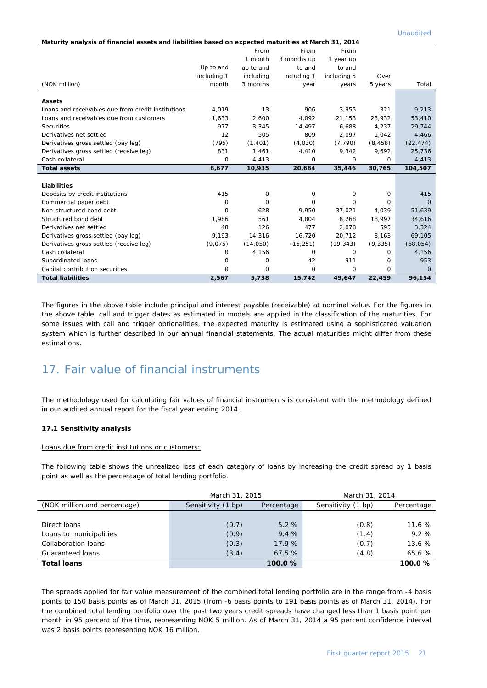Unaudited

|  | Maturity analysis of financial assets and liabilities based on expected maturities at March 31, 2014 |
|--|------------------------------------------------------------------------------------------------------|
|  |                                                                                                      |

|                                                    |             | From      | From        | From        |             |           |
|----------------------------------------------------|-------------|-----------|-------------|-------------|-------------|-----------|
|                                                    |             | 1 month   | 3 months up | 1 year up   |             |           |
|                                                    | Up to and   | up to and | to and      | to and      |             |           |
|                                                    | including 1 | including | including 1 | including 5 | Over        |           |
| (NOK million)                                      | month       | 3 months  | year        | years       | 5 years     | Total     |
|                                                    |             |           |             |             |             |           |
| <b>Assets</b>                                      |             |           |             |             |             |           |
| Loans and receivables due from credit institutions | 4.019       | 13        | 906         | 3.955       | 321         | 9,213     |
| Loans and receivables due from customers           | 1,633       | 2,600     | 4.092       | 21,153      | 23,932      | 53,410    |
| Securities                                         | 977         | 3.345     | 14.497      | 6.688       | 4,237       | 29,744    |
| Derivatives net settled                            | 12          | 505       | 809         | 2,097       | 1.042       | 4,466     |
| Derivatives gross settled (pay leg)                | (795)       | (1, 401)  | (4,030)     | (7, 790)    | (8, 458)    | (22, 474) |
| Derivatives gross settled (receive leg)            | 831         | 1,461     | 4,410       | 9,342       | 9,692       | 25,736    |
| Cash collateral                                    | 0           | 4,413     | 0           | 0           | 0           | 4,413     |
| <b>Total assets</b>                                | 6,677       | 10,935    | 20,684      | 35,446      | 30,765      | 104,507   |
|                                                    |             |           |             |             |             |           |
| Liabilities                                        |             |           |             |             |             |           |
| Deposits by credit institutions                    |             |           |             |             |             |           |
|                                                    | 415         | 0         | 0           | 0           | 0           | 415       |
| Commercial paper debt                              | 0           | 0         | $\Omega$    | $\Omega$    | 0           | $\Omega$  |
| Non-structured bond debt                           | $\Omega$    | 628       | 9,950       | 37,021      | 4,039       | 51,639    |
| Structured bond debt                               | 1,986       | 561       | 4.804       | 8.268       | 18,997      | 34,616    |
| Derivatives net settled                            | 48          | 126       | 477         | 2.078       | 595         | 3,324     |
| Derivatives gross settled (pay leg)                | 9,193       | 14,316    | 16,720      | 20,712      | 8,163       | 69,105    |
| Derivatives gross settled (receive leg)            | (9,075)     | (14,050)  | (16, 251)   | (19, 343)   | (9, 335)    | (68, 054) |
| Cash collateral                                    | 0           | 4,156     | $\Omega$    | 0           | 0           | 4,156     |
| Subordinated loans                                 | 0           | 0         | 42          | 911         | 0           | 953       |
| Capital contribution securities                    | $\mathbf 0$ | 0         | $\mathbf 0$ | 0           | $\mathbf 0$ | $\Omega$  |

The figures in the above table include principal and interest payable (receivable) at nominal value. For the figures in the above table, call and trigger dates as estimated in models are applied in the classification of the maturities. For some issues with call and trigger optionalities, the expected maturity is estimated using a sophisticated valuation system which is further described in our annual financial statements. The actual maturities might differ from these estimations.

## 17. Fair value of financial instruments

The methodology used for calculating fair values of financial instruments is consistent with the methodology defined in our audited annual report for the fiscal year ending 2014.

#### **17.1 Sensitivity analysis**

Loans due from credit institutions or customers:

The following table shows the unrealized loss of each category of loans by increasing the credit spread by 1 basis point as well as the percentage of total lending portfolio.

|                              | March 31, 2015     | March 31, 2014 |                    |            |
|------------------------------|--------------------|----------------|--------------------|------------|
| (NOK million and percentage) | Sensitivity (1 bp) | Percentage     | Sensitivity (1 bp) | Percentage |
|                              |                    |                |                    |            |
| Direct loans                 | (0.7)              | 5.2%           | (0.8)              | 11.6%      |
| Loans to municipalities      | (0.9)              | 9.4%           | (1.4)              | 9.2%       |
| Collaboration loans          | (0.3)              | 17.9%          | (0.7)              | 13.6 %     |
| Guaranteed loans             | (3.4)              | 67.5%          | (4.8)              | 65.6 %     |
| <b>Total loans</b>           |                    | 100.0%         |                    | 100.0%     |

The spreads applied for fair value measurement of the combined total lending portfolio are in the range from -4 basis points to 150 basis points as of March 31, 2015 (from -6 basis points to 191 basis points as of March 31, 2014). For the combined total lending portfolio over the past two years credit spreads have changed less than 1 basis point per month in 95 percent of the time, representing NOK 5 million. As of March 31, 2014 a 95 percent confidence interval was 2 basis points representing NOK 16 million.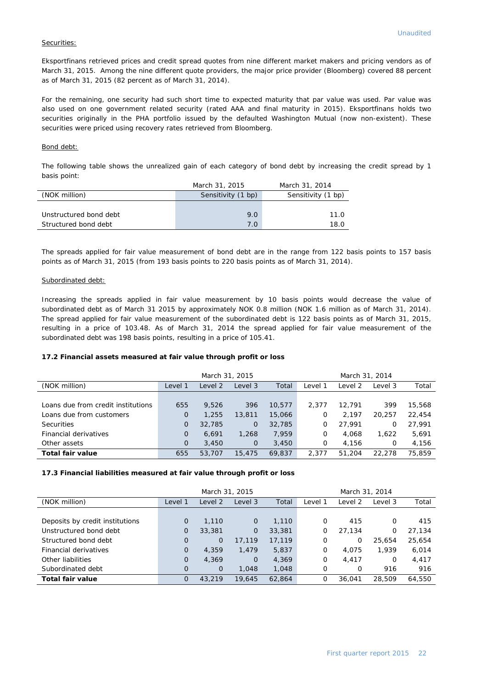#### Securities:

Eksportfinans retrieved prices and credit spread quotes from nine different market makers and pricing vendors as of March 31, 2015. Among the nine different quote providers, the major price provider (Bloomberg) covered 88 percent as of March 31, 2015 (82 percent as of March 31, 2014).

For the remaining, one security had such short time to expected maturity that par value was used. Par value was also used on one government related security (rated AAA and final maturity in 2015). Eksportfinans holds two securities originally in the PHA portfolio issued by the defaulted Washington Mutual (now non-existent). These securities were priced using recovery rates retrieved from Bloomberg.

#### Bond debt:

The following table shows the unrealized gain of each category of bond debt by increasing the credit spread by 1 basis point:

|                        | March 31, 2015     | March 31, 2014     |
|------------------------|--------------------|--------------------|
| (NOK million)          | Sensitivity (1 bp) | Sensitivity (1 bp) |
|                        |                    |                    |
| Unstructured bond debt | 9.0                | 11.0               |
| Structured bond debt   | 7.0                | 18.0               |

The spreads applied for fair value measurement of bond debt are in the range from 122 basis points to 157 basis points as of March 31, 2015 (from 193 basis points to 220 basis points as of March 31, 2014).

#### Subordinated debt:

Increasing the spreads applied in fair value measurement by 10 basis points would decrease the value of subordinated debt as of March 31 2015 by approximately NOK 0.8 million (NOK 1.6 million as of March 31, 2014). The spread applied for fair value measurement of the subordinated debt is 122 basis points as of March 31, 2015, resulting in a price of 103.48. As of March 31, 2014 the spread applied for fair value measurement of the subordinated debt was 198 basis points, resulting in a price of 105.41.

#### **17.2 Financial assets measured at fair value through profit or loss**

|                                    |          | March 31, 2015<br>March 31, 2014 |             |        |         |         |         |        |
|------------------------------------|----------|----------------------------------|-------------|--------|---------|---------|---------|--------|
| (NOK million)                      | Level 1  | Level 2                          | Level 3     | Total  | Level 1 | Level 2 | Level 3 | Total  |
|                                    |          |                                  |             |        |         |         |         |        |
| Loans due from credit institutions | 655      | 9.526                            | 396         | 10.577 | 2.377   | 12.791  | 399     | 15,568 |
| Loans due from customers           | 0        | 1,255                            | 13,811      | 15,066 | 0       | 2.197   | 20,257  | 22,454 |
| <b>Securities</b>                  | 0        | 32,785                           | $\mathbf 0$ | 32,785 | 0       | 27.991  | 0       | 27,991 |
| Financial derivatives              | $\Omega$ | 6.691                            | 1,268       | 7.959  | 0       | 4.068   | 1.622   | 5,691  |
| Other assets                       | $\Omega$ | 3,450                            | $\Omega$    | 3,450  | 0       | 4.156   | 0       | 4.156  |
| Total fair value                   | 655      | 53,707                           | 15,475      | 69.837 | 2.377   | 51,204  | 22.278  | 75.859 |

#### **17.3 Financial liabilities measured at fair value through profit or loss**

|                                 |              | March 31, 2015 |                |        |         | March 31, 2014 |         |        |
|---------------------------------|--------------|----------------|----------------|--------|---------|----------------|---------|--------|
| (NOK million)                   | Level 1      | Level 2        | Level 3        | Total  | Level 1 | Level 2        | Level 3 | Total  |
|                                 |              |                |                |        |         |                |         |        |
| Deposits by credit institutions | $\mathbf 0$  | 1,110          | $\mathbf 0$    | 1,110  | 0       | 415            | O       | 415    |
| Unstructured bond debt          | 0            | 33,381         | $\overline{O}$ | 33,381 | 0       | 27.134         | 0       | 27,134 |
| Structured bond debt            | $\Omega$     | 0              | 17,119         | 17,119 | 0       | 0              | 25,654  | 25,654 |
| Financial derivatives           | $\mathbf{O}$ | 4,359          | 1,479          | 5,837  | 0       | 4.075          | 1,939   | 6,014  |
| Other liabilities               | 0            | 4,369          | $\overline{0}$ | 4,369  | 0       | 4.417          | 0       | 4,417  |
| Subordinated debt               | $\mathbf{O}$ | $\Omega$       | 1,048          | 1,048  | 0       | 0              | 916     | 916    |
| <b>Total fair value</b>         | $\Omega$     | 43,219         | 19,645         | 62.864 | 0       | 36,041         | 28,509  | 64,550 |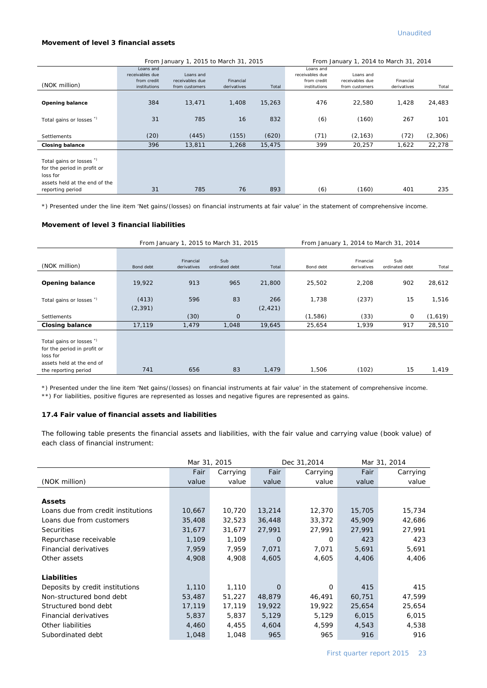#### **Movement of level 3 financial assets**

|                                                                                                                          |                                                             | From January 1, 2015 to March 31, 2015         |                          |        |                                                             | From January 1, 2014 to March 31, 2014         |                          |         |
|--------------------------------------------------------------------------------------------------------------------------|-------------------------------------------------------------|------------------------------------------------|--------------------------|--------|-------------------------------------------------------------|------------------------------------------------|--------------------------|---------|
| (NOK million)                                                                                                            | Loans and<br>receivables due<br>from credit<br>institutions | Loans and<br>receivables due<br>from customers | Financial<br>derivatives | Total  | Loans and<br>receivables due<br>from credit<br>institutions | Loans and<br>receivables due<br>from customers | Financial<br>derivatives | Total   |
| <b>Opening balance</b>                                                                                                   | 384                                                         | 13,471                                         | 1,408                    | 15,263 | 476                                                         | 22,580                                         | 1,428                    | 24,483  |
| Total gains or losses <sup>"</sup>                                                                                       | 31                                                          | 785                                            | 16                       | 832    | (6)                                                         | (160)                                          | 267                      | 101     |
| Settlements                                                                                                              | (20)                                                        | (445)                                          | (155)                    | (620)  | (71)                                                        | (2, 163)                                       | (72)                     | (2,306) |
| <b>Closing balance</b>                                                                                                   | 396                                                         | 13,811                                         | 1,268                    | 15,475 | 399                                                         | 20,257                                         | 1,622                    | 22,278  |
| Total gains or losses *)<br>for the period in profit or<br>loss for<br>assets held at the end of the<br>reporting period | 31                                                          | 785                                            | 76                       | 893    | (6)                                                         | (160)                                          | 401                      | 235     |

\*) Presented under the line item 'Net gains/(losses) on financial instruments at fair value' in the statement of comprehensive income.

#### **Movement of level 3 financial liabilities**

|                                                                                                  |                   |                          | From January 1, 2015 to March 31, 2015 |                 |           |                          | From January 1, 2014 to March 31, 2014 |         |
|--------------------------------------------------------------------------------------------------|-------------------|--------------------------|----------------------------------------|-----------------|-----------|--------------------------|----------------------------------------|---------|
| (NOK million)                                                                                    | Bond debt         | Financial<br>derivatives | Sub<br>ordinated debt                  | Total           | Bond debt | Financial<br>derivatives | Sub<br>ordinated debt                  | Total   |
| <b>Opening balance</b>                                                                           | 19,922            | 913                      | 965                                    | 21,800          | 25,502    | 2,208                    | 902                                    | 28,612  |
| Total gains or losses *)                                                                         | (413)<br>(2, 391) | 596                      | 83                                     | 266<br>(2, 421) | 1,738     | (237)                    | 15                                     | 1,516   |
| <b>Settlements</b>                                                                               |                   | (30)                     | 0                                      |                 | (1,586)   | (33)                     | $\mathbf 0$                            | (1,619) |
| <b>Closing balance</b>                                                                           | 17,119            | 1,479                    | 1,048                                  | 19,645          | 25,654    | 1,939                    | 917                                    | 28,510  |
| Total gains or losses *)<br>for the period in profit or<br>loss for<br>assets held at the end of |                   |                          |                                        |                 |           |                          |                                        |         |
| the reporting period                                                                             | 741               | 656                      | 83                                     | 1,479           | 1,506     | (102)                    | 15                                     | 1,419   |

\*) Presented under the line item 'Net gains/(losses) on financial instruments at fair value' in the statement of comprehensive income.

\*\*) For liabilities, positive figures are represented as losses and negative figures are represented as gains.

## **17.4 Fair value of financial assets and liabilities**

The following table presents the financial assets and liabilities, with the fair value and carrying value (book value) of each class of financial instrument:

|                                    | Mar 31, 2015 |          | Dec 31,2014 |          | Mar 31, 2014 |          |
|------------------------------------|--------------|----------|-------------|----------|--------------|----------|
|                                    | Fair         | Carrying | Fair        | Carrying | Fair         | Carrying |
| (NOK million)                      | value        | value    | value       | value    | value        | value    |
|                                    |              |          |             |          |              |          |
| <b>Assets</b>                      |              |          |             |          |              |          |
| Loans due from credit institutions | 10,667       | 10,720   | 13,214      | 12,370   | 15,705       | 15,734   |
| Loans due from customers           | 35,408       | 32,523   | 36,448      | 33,372   | 45,909       | 42,686   |
| <b>Securities</b>                  | 31,677       | 31,677   | 27,991      | 27,991   | 27,991       | 27,991   |
| Repurchase receivable              | 1,109        | 1,109    | 0           | 0        | 423          | 423      |
| Financial derivatives              | 7,959        | 7,959    | 7,071       | 7,071    | 5,691        | 5,691    |
| Other assets                       | 4,908        | 4,908    | 4,605       | 4,605    | 4,406        | 4,406    |
|                                    |              |          |             |          |              |          |
| Liabilities                        |              |          |             |          |              |          |
| Deposits by credit institutions    | 1,110        | 1,110    | 0           | 0        | 415          | 415      |
| Non-structured bond debt           | 53,487       | 51,227   | 48,879      | 46,491   | 60,751       | 47,599   |
| Structured bond debt               | 17,119       | 17,119   | 19,922      | 19,922   | 25,654       | 25,654   |
| Financial derivatives              | 5,837        | 5,837    | 5,129       | 5,129    | 6,015        | 6,015    |
| Other liabilities                  | 4,460        | 4,455    | 4,604       | 4,599    | 4,543        | 4,538    |
| Subordinated debt                  | 1,048        | 1,048    | 965         | 965      | 916          | 916      |